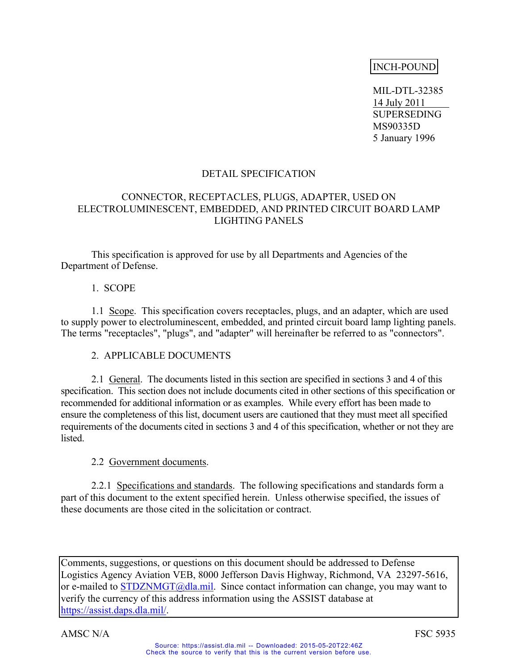# INCH-POUND

 MIL-DTL-32385 14 July 2011 SUPERSEDING MS90335D 5 January 1996

## DETAIL SPECIFICATION

## CONNECTOR, RECEPTACLES, PLUGS, ADAPTER, USED ON ELECTROLUMINESCENT, EMBEDDED, AND PRINTED CIRCUIT BOARD LAMP LIGHTING PANELS

This specification is approved for use by all Departments and Agencies of the Department of Defense.

## 1. SCOPE

 1.1 Scope. This specification covers receptacles, plugs, and an adapter, which are used to supply power to electroluminescent, embedded, and printed circuit board lamp lighting panels. The terms "receptacles", "plugs", and "adapter" will hereinafter be referred to as "connectors".

## 2. APPLICABLE DOCUMENTS

 2.1 General. The documents listed in this section are specified in sections 3 and 4 of this specification. This section does not include documents cited in other sections of this specification or recommended for additional information or as examples. While every effort has been made to ensure the completeness of this list, document users are cautioned that they must meet all specified requirements of the documents cited in sections 3 and 4 of this specification, whether or not they are **listed** 

## 2.2 Government documents.

 2.2.1 Specifications and standards. The following specifications and standards form a part of this document to the extent specified herein. Unless otherwise specified, the issues of these documents are those cited in the solicitation or contract.

Comments, suggestions, or questions on this document should be addressed to Defense Logistics Agency Aviation VEB, 8000 Jefferson Davis Highway, Richmond, VA 23297-5616, or e-mailed to STDZNMGT@dla.mil. Since contact information can change, you may want to verify the currency of this address information using the ASSIST database at https://assist.daps.dla.mil/.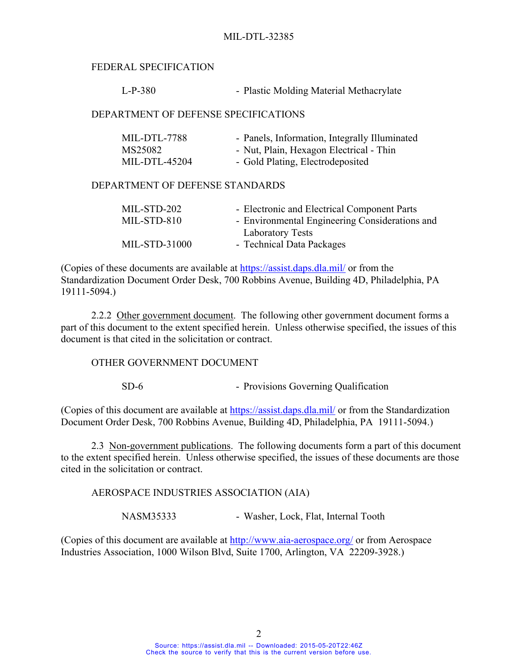### FEDERAL SPECIFICATION

L-P-380 - Plastic Molding Material Methacrylate

### DEPARTMENT OF DEFENSE SPECIFICATIONS

| MIL-DTL-7788  | - Panels, Information, Integrally Illuminated |
|---------------|-----------------------------------------------|
| MS25082       | - Nut, Plain, Hexagon Electrical - Thin       |
| MIL-DTL-45204 | - Gold Plating, Electrodeposited              |

#### DEPARTMENT OF DEFENSE STANDARDS

| MIL-STD-202   | - Electronic and Electrical Component Parts    |
|---------------|------------------------------------------------|
| MIL-STD-810   | - Environmental Engineering Considerations and |
|               | <b>Laboratory Tests</b>                        |
| MIL-STD-31000 | - Technical Data Packages                      |
|               |                                                |

(Copies of these documents are available at https://assist.daps.dla.mil/ or from the Standardization Document Order Desk, 700 Robbins Avenue, Building 4D, Philadelphia, PA 19111-5094.)

2.2.2 Other government document. The following other government document forms a part of this document to the extent specified herein. Unless otherwise specified, the issues of this document is that cited in the solicitation or contract.

#### OTHER GOVERNMENT DOCUMENT

SD-6 - Provisions Governing Qualification

(Copies of this document are available at https://assist.daps.dla.mil/ or from the Standardization Document Order Desk, 700 Robbins Avenue, Building 4D, Philadelphia, PA 19111-5094.)

 2.3 Non-government publications. The following documents form a part of this document to the extent specified herein. Unless otherwise specified, the issues of these documents are those cited in the solicitation or contract.

AEROSPACE INDUSTRIES ASSOCIATION (AIA)

NASM35333 - Washer, Lock, Flat, Internal Tooth

(Copies of this document are available at http://www.aia-aerospace.org/ or from Aerospace Industries Association, 1000 Wilson Blvd, Suite 1700, Arlington, VA 22209-3928.)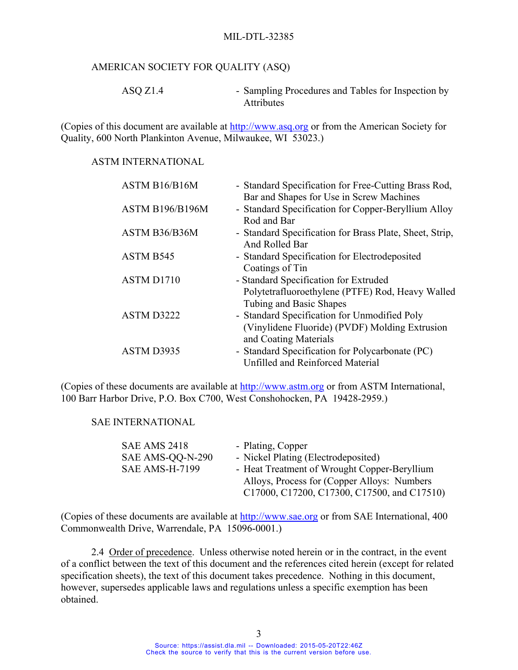### MIL-DTL-32385

### AMERICAN SOCIETY FOR QUALITY (ASQ)

ASO Z1.4 - Sampling Procedures and Tables for Inspection by Attributes

(Copies of this document are available at http://www.asq.org or from the American Society for Quality, 600 North Plankinton Avenue, Milwaukee, WI 53023.)

#### ASTM INTERNATIONAL

| ASTM B16/B16M          | - Standard Specification for Free-Cutting Brass Rod,<br>Bar and Shapes for Use in Screw Machines                        |
|------------------------|-------------------------------------------------------------------------------------------------------------------------|
| <b>ASTM B196/B196M</b> | - Standard Specification for Copper-Beryllium Alloy<br>Rod and Bar                                                      |
| ASTM B36/B36M          | - Standard Specification for Brass Plate, Sheet, Strip,<br>And Rolled Bar                                               |
| ASTM B545              | - Standard Specification for Electrodeposited<br>Coatings of Tin                                                        |
| ASTM D1710             | - Standard Specification for Extruded<br>Polytetrafluoroethylene (PTFE) Rod, Heavy Walled<br>Tubing and Basic Shapes    |
| ASTM D3222             | - Standard Specification for Unmodified Poly<br>(Vinylidene Fluoride) (PVDF) Molding Extrusion<br>and Coating Materials |
| ASTM D3935             | - Standard Specification for Polycarbonate (PC)<br>Unfilled and Reinforced Material                                     |

(Copies of these documents are available at http://www.astm.org or from ASTM International, 100 Barr Harbor Drive, P.O. Box C700, West Conshohocken, PA 19428-2959.)

### SAE INTERNATIONAL

| <b>SAE AMS 2418</b>   | - Plating, Copper                            |
|-----------------------|----------------------------------------------|
| SAE AMS-QQ-N-290      | - Nickel Plating (Electrodeposited)          |
| <b>SAE AMS-H-7199</b> | - Heat Treatment of Wrought Copper-Beryllium |
|                       | Alloys, Process for (Copper Alloys: Numbers) |
|                       | C17000, C17200, C17300, C17500, and C17510)  |

(Copies of these documents are available at http://www.sae.org or from SAE International, 400 Commonwealth Drive, Warrendale, PA 15096-0001.)

 2.4 Order of precedence. Unless otherwise noted herein or in the contract, in the event of a conflict between the text of this document and the references cited herein (except for related specification sheets), the text of this document takes precedence. Nothing in this document, however, supersedes applicable laws and regulations unless a specific exemption has been obtained.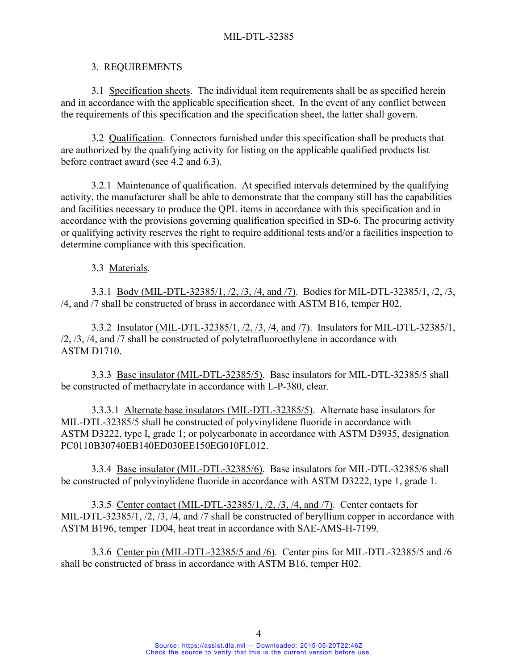## MIL-DTL-32385

### 3. REQUIREMENTS

3.1 Specification sheets. The individual item requirements shall be as specified herein and in accordance with the applicable specification sheet. In the event of any conflict between the requirements of this specification and the specification sheet, the latter shall govern.

 3.2 Qualification. Connectors furnished under this specification shall be products that are authorized by the qualifying activity for listing on the applicable qualified products list before contract award (see 4.2 and 6.3).

 3.2.1 Maintenance of qualification. At specified intervals determined by the qualifying activity, the manufacturer shall be able to demonstrate that the company still has the capabilities and facilities necessary to produce the QPL items in accordance with this specification and in accordance with the provisions governing qualification specified in SD-6. The procuring activity or qualifying activity reserves the right to require additional tests and/or a facilities inspection to determine compliance with this specification.

3.3 Materials.

3.3.1 Body (MIL-DTL-32385/1, /2, /3, /4, and /7). Bodies for MIL-DTL-32385/1, /2, /3, /4, and /7 shall be constructed of brass in accordance with ASTM B16, temper H02.

3.3.2 Insulator (MIL-DTL-32385/1, /2, /3, /4, and /7). Insulators for MIL-DTL-32385/1, /2, /3, /4, and /7 shall be constructed of polytetrafluoroethylene in accordance with ASTM D1710.

3.3.3 Base insulator (MIL-DTL-32385/5). Base insulators for MIL-DTL-32385/5 shall be constructed of methacrylate in accordance with L-P-380, clear.

3.3.3.1 Alternate base insulators (MIL-DTL-32385/5). Alternate base insulators for MIL-DTL-32385/5 shall be constructed of polyvinylidene fluoride in accordance with ASTM D3222, type I, grade 1; or polycarbonate in accordance with ASTM D3935, designation PC0110B30740EB140ED030EE150EG010FL012.

3.3.4 Base insulator (MIL-DTL-32385/6). Base insulators for MIL-DTL-32385/6 shall be constructed of polyvinylidene fluoride in accordance with ASTM D3222, type 1, grade 1.

3.3.5 Center contact (MIL-DTL-32385/1, /2, /3, /4, and /7). Center contacts for MIL-DTL-32385/1, /2, /3, /4, and /7 shall be constructed of beryllium copper in accordance with ASTM B196, temper TD04, heat treat in accordance with SAE-AMS-H-7199.

3.3.6 Center pin (MIL-DTL-32385/5 and /6). Center pins for MIL-DTL-32385/5 and /6 shall be constructed of brass in accordance with ASTM B16, temper H02.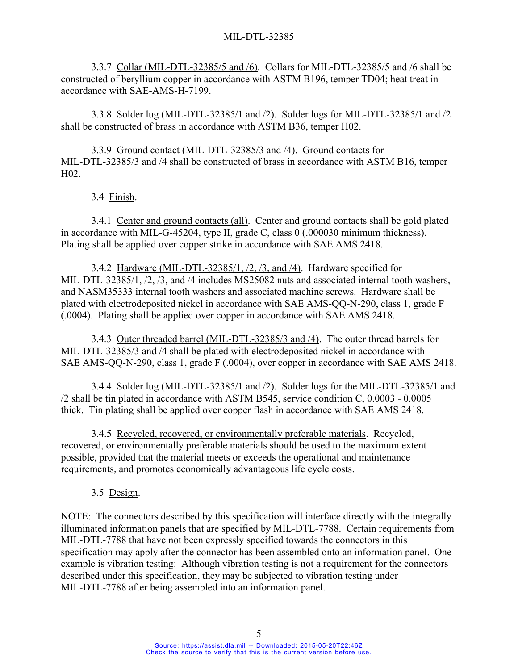3.3.7 Collar (MIL-DTL-32385/5 and /6). Collars for MIL-DTL-32385/5 and /6 shall be constructed of beryllium copper in accordance with ASTM B196, temper TD04; heat treat in accordance with SAE-AMS-H-7199.

3.3.8 Solder lug (MIL-DTL-32385/1 and /2). Solder lugs for MIL-DTL-32385/1 and /2 shall be constructed of brass in accordance with ASTM B36, temper H02.

3.3.9 Ground contact (MIL-DTL-32385/3 and /4). Ground contacts for MIL-DTL-32385/3 and /4 shall be constructed of brass in accordance with ASTM B16, temper H02.

3.4 Finish.

3.4.1 Center and ground contacts (all). Center and ground contacts shall be gold plated in accordance with MIL-G-45204, type II, grade C, class 0 (.000030 minimum thickness). Plating shall be applied over copper strike in accordance with SAE AMS 2418.

3.4.2 Hardware (MIL-DTL-32385/1, /2, /3, and /4). Hardware specified for MIL-DTL-32385/1, /2, /3, and /4 includes MS25082 nuts and associated internal tooth washers, and NASM35333 internal tooth washers and associated machine screws. Hardware shall be plated with electrodeposited nickel in accordance with SAE AMS-QQ-N-290, class 1, grade F (.0004). Plating shall be applied over copper in accordance with SAE AMS 2418.

3.4.3 Outer threaded barrel (MIL-DTL-32385/3 and /4). The outer thread barrels for MIL-DTL-32385/3 and /4 shall be plated with electrodeposited nickel in accordance with SAE AMS-QQ-N-290, class 1, grade F (.0004), over copper in accordance with SAE AMS 2418.

 3.4.4 Solder lug (MIL-DTL-32385/1 and /2). Solder lugs for the MIL-DTL-32385/1 and /2 shall be tin plated in accordance with ASTM B545, service condition C, 0.0003 - 0.0005 thick. Tin plating shall be applied over copper flash in accordance with SAE AMS 2418.

 3.4.5 Recycled, recovered, or environmentally preferable materials. Recycled, recovered, or environmentally preferable materials should be used to the maximum extent possible, provided that the material meets or exceeds the operational and maintenance requirements, and promotes economically advantageous life cycle costs.

3.5 Design.

NOTE: The connectors described by this specification will interface directly with the integrally illuminated information panels that are specified by MIL-DTL-7788. Certain requirements from MIL-DTL-7788 that have not been expressly specified towards the connectors in this specification may apply after the connector has been assembled onto an information panel. One example is vibration testing: Although vibration testing is not a requirement for the connectors described under this specification, they may be subjected to vibration testing under MIL-DTL-7788 after being assembled into an information panel.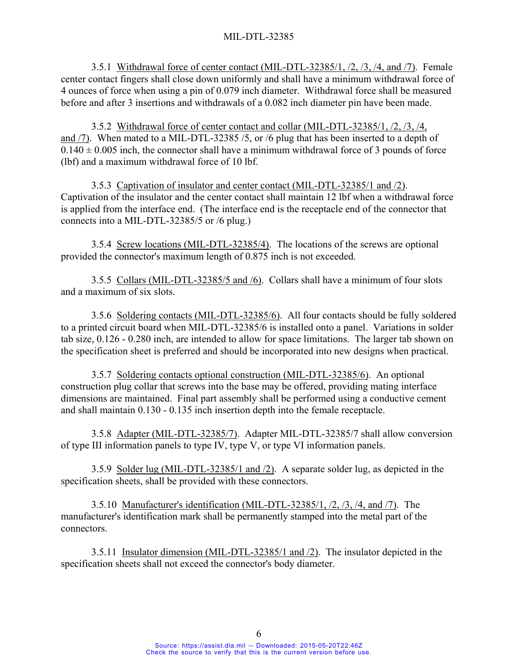3.5.1 Withdrawal force of center contact (MIL-DTL-32385/1, /2, /3, /4, and /7). Female center contact fingers shall close down uniformly and shall have a minimum withdrawal force of 4 ounces of force when using a pin of 0.079 inch diameter. Withdrawal force shall be measured before and after 3 insertions and withdrawals of a 0.082 inch diameter pin have been made.

3.5.2 Withdrawal force of center contact and collar (MIL-DTL-32385/1, /2, /3, /4, and /7). When mated to a MIL-DTL-32385 /5, or /6 plug that has been inserted to a depth of  $0.140 \pm 0.005$  inch, the connector shall have a minimum withdrawal force of 3 pounds of force (lbf) and a maximum withdrawal force of 10 lbf.

3.5.3 Captivation of insulator and center contact (MIL-DTL-32385/1 and /2). Captivation of the insulator and the center contact shall maintain 12 lbf when a withdrawal force is applied from the interface end. (The interface end is the receptacle end of the connector that connects into a MIL-DTL-32385/5 or /6 plug.)

3.5.4 Screw locations (MIL-DTL-32385/4). The locations of the screws are optional provided the connector's maximum length of 0.875 inch is not exceeded.

3.5.5 Collars (MIL-DTL-32385/5 and /6). Collars shall have a minimum of four slots and a maximum of six slots.

3.5.6 Soldering contacts (MIL-DTL-32385/6). All four contacts should be fully soldered to a printed circuit board when MIL-DTL-32385/6 is installed onto a panel. Variations in solder tab size, 0.126 - 0.280 inch, are intended to allow for space limitations. The larger tab shown on the specification sheet is preferred and should be incorporated into new designs when practical.

3.5.7 Soldering contacts optional construction (MIL-DTL-32385/6). An optional construction plug collar that screws into the base may be offered, providing mating interface dimensions are maintained. Final part assembly shall be performed using a conductive cement and shall maintain 0.130 - 0.135 inch insertion depth into the female receptacle.

3.5.8 Adapter (MIL-DTL-32385/7). Adapter MIL-DTL-32385/7 shall allow conversion of type III information panels to type IV, type V, or type VI information panels.

3.5.9 Solder lug (MIL-DTL-32385/1 and /2). A separate solder lug, as depicted in the specification sheets, shall be provided with these connectors.

 3.5.10 Manufacturer's identification (MIL-DTL-32385/1, /2, /3, /4, and /7). The manufacturer's identification mark shall be permanently stamped into the metal part of the connectors.

3.5.11 Insulator dimension (MIL-DTL-32385/1 and /2). The insulator depicted in the specification sheets shall not exceed the connector's body diameter.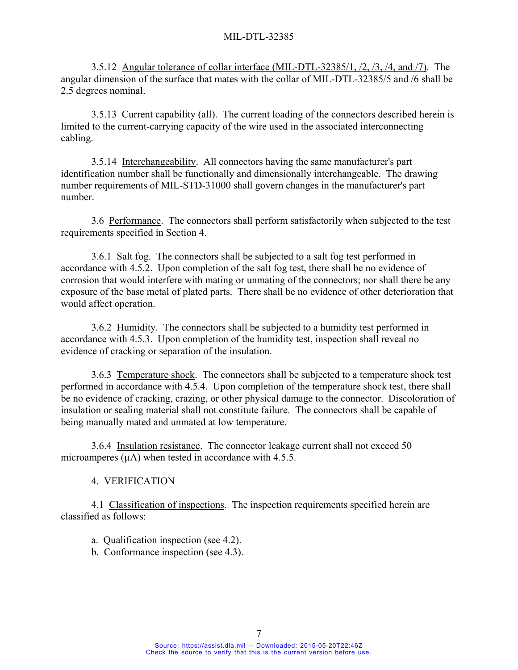3.5.12 Angular tolerance of collar interface (MIL-DTL-32385/1, /2, /3, /4, and /7). The angular dimension of the surface that mates with the collar of MIL-DTL-32385/5 and /6 shall be 2.5 degrees nominal.

 3.5.13 Current capability (all). The current loading of the connectors described herein is limited to the current-carrying capacity of the wire used in the associated interconnecting cabling.

 3.5.14 Interchangeability. All connectors having the same manufacturer's part identification number shall be functionally and dimensionally interchangeable. The drawing number requirements of MIL-STD-31000 shall govern changes in the manufacturer's part number.

 3.6 Performance. The connectors shall perform satisfactorily when subjected to the test requirements specified in Section 4.

 3.6.1 Salt fog. The connectors shall be subjected to a salt fog test performed in accordance with 4.5.2. Upon completion of the salt fog test, there shall be no evidence of corrosion that would interfere with mating or unmating of the connectors; nor shall there be any exposure of the base metal of plated parts. There shall be no evidence of other deterioration that would affect operation.

 3.6.2 Humidity. The connectors shall be subjected to a humidity test performed in accordance with 4.5.3. Upon completion of the humidity test, inspection shall reveal no evidence of cracking or separation of the insulation.

 3.6.3 Temperature shock. The connectors shall be subjected to a temperature shock test performed in accordance with 4.5.4. Upon completion of the temperature shock test, there shall be no evidence of cracking, crazing, or other physical damage to the connector. Discoloration of insulation or sealing material shall not constitute failure. The connectors shall be capable of being manually mated and unmated at low temperature.

 3.6.4 Insulation resistance. The connector leakage current shall not exceed 50 microamperes  $(\mu A)$  when tested in accordance with 4.5.5.

4. VERIFICATION

 4.1 Classification of inspections. The inspection requirements specified herein are classified as follows:

a. Qualification inspection (see 4.2).

b. Conformance inspection (see 4.3).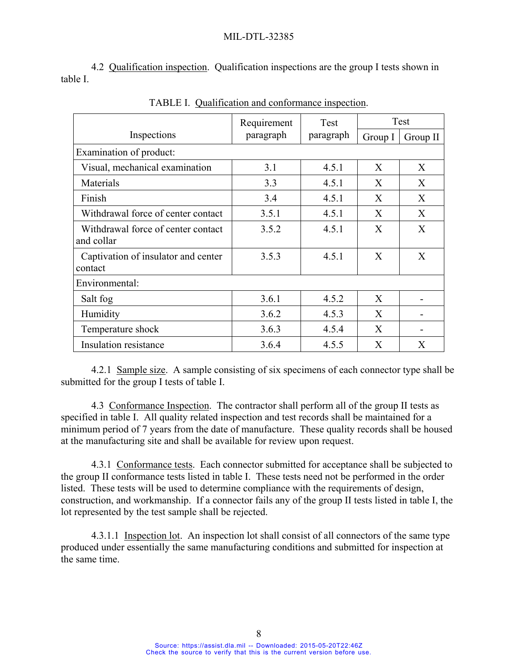4.2 Qualification inspection. Qualification inspections are the group I tests shown in table I.

|                                                  | Requirement<br>Test |           | Test             |                  |  |
|--------------------------------------------------|---------------------|-----------|------------------|------------------|--|
| Inspections                                      | paragraph           | paragraph | Group I          | Group II         |  |
| Examination of product:                          |                     |           |                  |                  |  |
| Visual, mechanical examination                   | 3.1                 | 4.5.1     | X                | X                |  |
| Materials                                        | 3.3                 | 4.5.1     | X                | X                |  |
| Finish                                           | 3.4                 | 4.5.1     | X                | X                |  |
| Withdrawal force of center contact               | 3.5.1               | 4.5.1     | X                | X                |  |
| Withdrawal force of center contact<br>and collar | 3.5.2               | 4.5.1     | $\mathbf{X}$     | $\boldsymbol{X}$ |  |
| Captivation of insulator and center<br>contact   | 3.5.3               | 4.5.1     | X                | X                |  |
| Environmental:                                   |                     |           |                  |                  |  |
| Salt fog                                         | 3.6.1               | 4.5.2     | $\boldsymbol{X}$ |                  |  |
| Humidity                                         | 3.6.2               | 4.5.3     | X                |                  |  |
| Temperature shock                                | 3.6.3               | 4.5.4     | X                |                  |  |
| Insulation resistance                            | 3.6.4               | 4.5.5     | X                | X                |  |

TABLE I. Qualification and conformance inspection.

 4.2.1 Sample size. A sample consisting of six specimens of each connector type shall be submitted for the group I tests of table I.

 4.3 Conformance Inspection. The contractor shall perform all of the group II tests as specified in table I. All quality related inspection and test records shall be maintained for a minimum period of 7 years from the date of manufacture. These quality records shall be housed at the manufacturing site and shall be available for review upon request.

 4.3.1 Conformance tests. Each connector submitted for acceptance shall be subjected to the group II conformance tests listed in table I. These tests need not be performed in the order listed. These tests will be used to determine compliance with the requirements of design, construction, and workmanship. If a connector fails any of the group II tests listed in table I, the lot represented by the test sample shall be rejected.

 4.3.1.1 Inspection lot. An inspection lot shall consist of all connectors of the same type produced under essentially the same manufacturing conditions and submitted for inspection at the same time.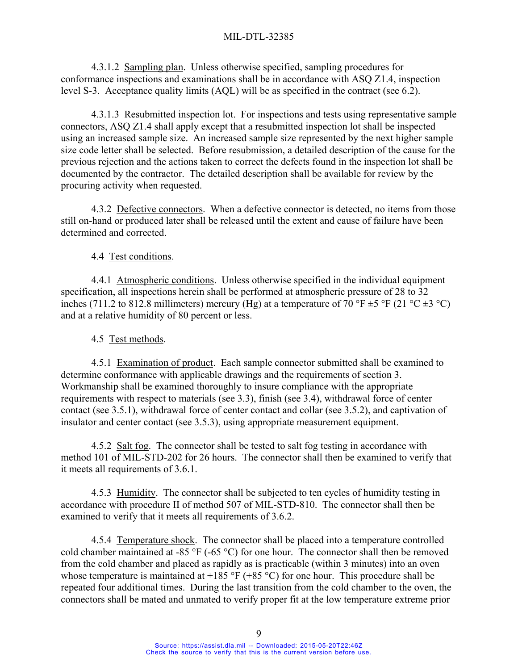4.3.1.2 Sampling plan. Unless otherwise specified, sampling procedures for conformance inspections and examinations shall be in accordance with ASQ Z1.4, inspection level S-3. Acceptance quality limits (AQL) will be as specified in the contract (see 6.2).

 4.3.1.3 Resubmitted inspection lot. For inspections and tests using representative sample connectors, ASQ Z1.4 shall apply except that a resubmitted inspection lot shall be inspected using an increased sample size. An increased sample size represented by the next higher sample size code letter shall be selected. Before resubmission, a detailed description of the cause for the previous rejection and the actions taken to correct the defects found in the inspection lot shall be documented by the contractor. The detailed description shall be available for review by the procuring activity when requested.

4.3.2 Defective connectors. When a defective connector is detected, no items from those still on-hand or produced later shall be released until the extent and cause of failure have been determined and corrected.

4.4 Test conditions.

 4.4.1 Atmospheric conditions. Unless otherwise specified in the individual equipment specification, all inspections herein shall be performed at atmospheric pressure of 28 to 32 inches (711.2 to 812.8 millimeters) mercury (Hg) at a temperature of 70 °F  $\pm$ 5 °F (21 °C  $\pm$ 3 °C) and at a relative humidity of 80 percent or less.

## 4.5 Test methods.

 4.5.1 Examination of product. Each sample connector submitted shall be examined to determine conformance with applicable drawings and the requirements of section 3. Workmanship shall be examined thoroughly to insure compliance with the appropriate requirements with respect to materials (see 3.3), finish (see 3.4), withdrawal force of center contact (see 3.5.1), withdrawal force of center contact and collar (see 3.5.2), and captivation of insulator and center contact (see 3.5.3), using appropriate measurement equipment.

 4.5.2 Salt fog. The connector shall be tested to salt fog testing in accordance with method 101 of MIL-STD-202 for 26 hours. The connector shall then be examined to verify that it meets all requirements of 3.6.1.

 4.5.3 Humidity. The connector shall be subjected to ten cycles of humidity testing in accordance with procedure II of method 507 of MIL-STD-810. The connector shall then be examined to verify that it meets all requirements of 3.6.2.

 4.5.4 Temperature shock. The connector shall be placed into a temperature controlled cold chamber maintained at -85 °F (-65 °C) for one hour. The connector shall then be removed from the cold chamber and placed as rapidly as is practicable (within 3 minutes) into an oven whose temperature is maintained at  $+185 \text{ °C}$  ( $+85 \text{ °C}$ ) for one hour. This procedure shall be repeated four additional times. During the last transition from the cold chamber to the oven, the connectors shall be mated and unmated to verify proper fit at the low temperature extreme prior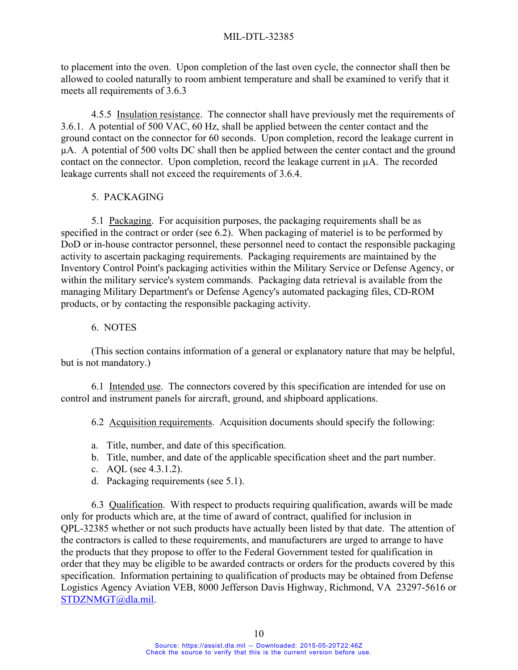## MIL-DTL-32385

to placement into the oven. Upon completion of the last oven cycle, the connector shall then be allowed to cooled naturally to room ambient temperature and shall be examined to verify that it meets all requirements of 3.6.3

 4.5.5 Insulation resistance. The connector shall have previously met the requirements of 3.6.1. A potential of 500 VAC, 60 Hz, shall be applied between the center contact and the ground contact on the connector for 60 seconds. Upon completion, record the leakage current in µA. A potential of 500 volts DC shall then be applied between the center contact and the ground contact on the connector. Upon completion, record the leakage current in µA. The recorded leakage currents shall not exceed the requirements of 3.6.4.

## 5. PACKAGING

 5.1 Packaging. For acquisition purposes, the packaging requirements shall be as specified in the contract or order (see 6.2). When packaging of materiel is to be performed by DoD or in-house contractor personnel, these personnel need to contact the responsible packaging activity to ascertain packaging requirements. Packaging requirements are maintained by the Inventory Control Point's packaging activities within the Military Service or Defense Agency, or within the military service's system commands. Packaging data retrieval is available from the managing Military Department's or Defense Agency's automated packaging files, CD-ROM products, or by contacting the responsible packaging activity.

## 6. NOTES

 (This section contains information of a general or explanatory nature that may be helpful, but is not mandatory.)

 6.1 Intended use. The connectors covered by this specification are intended for use on control and instrument panels for aircraft, ground, and shipboard applications.

6.2 Acquisition requirements. Acquisition documents should specify the following:

- a. Title, number, and date of this specification.
- b. Title, number, and date of the applicable specification sheet and the part number.
- c. AQL (see 4.3.1.2).
- d. Packaging requirements (see 5.1).

 6.3 Qualification. With respect to products requiring qualification, awards will be made only for products which are, at the time of award of contract, qualified for inclusion in QPL-32385 whether or not such products have actually been listed by that date. The attention of the contractors is called to these requirements, and manufacturers are urged to arrange to have the products that they propose to offer to the Federal Government tested for qualification in order that they may be eligible to be awarded contracts or orders for the products covered by this specification. Information pertaining to qualification of products may be obtained from Defense Logistics Agency Aviation VEB, 8000 Jefferson Davis Highway, Richmond, VA 23297-5616 or STDZNMGT@dla.mil.